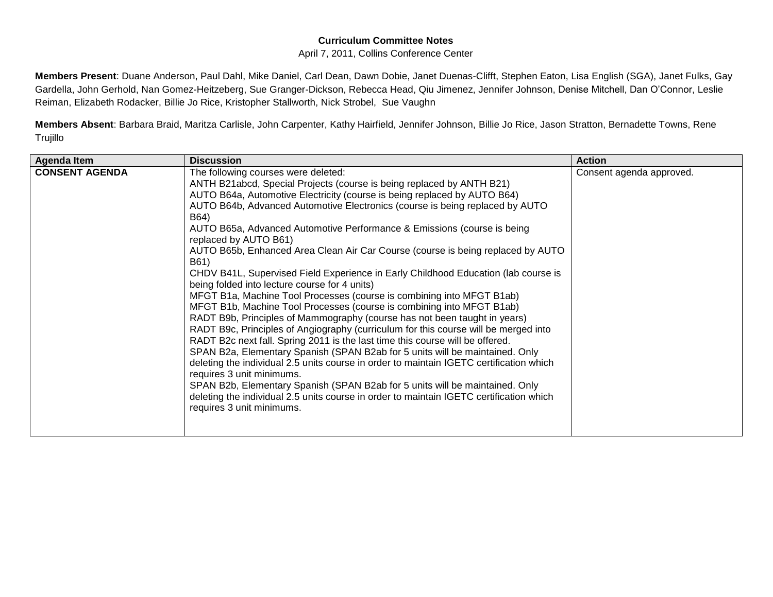## **Curriculum Committee Notes**

## April 7, 2011, Collins Conference Center

**Members Present**: Duane Anderson, Paul Dahl, Mike Daniel, Carl Dean, Dawn Dobie, Janet Duenas-Clifft, Stephen Eaton, Lisa English (SGA), Janet Fulks, Gay Gardella, John Gerhold, Nan Gomez-Heitzeberg, Sue Granger-Dickson, Rebecca Head, Qiu Jimenez, Jennifer Johnson, Denise Mitchell, Dan O'Connor, Leslie Reiman, Elizabeth Rodacker, Billie Jo Rice, Kristopher Stallworth, Nick Strobel, Sue Vaughn

**Members Absent**: Barbara Braid, Maritza Carlisle, John Carpenter, Kathy Hairfield, Jennifer Johnson, Billie Jo Rice, Jason Stratton, Bernadette Towns, Rene Trujillo

| <b>Agenda Item</b>    | <b>Discussion</b>                                                                                                                                                                                                                                                                                                                                                                                                                                                                                                                                                                                                                                                                                                                                                                                                                                                                                                                                                                                                                                                                                                                                                                                                                                                                                                                                                                                                                             | <b>Action</b>            |
|-----------------------|-----------------------------------------------------------------------------------------------------------------------------------------------------------------------------------------------------------------------------------------------------------------------------------------------------------------------------------------------------------------------------------------------------------------------------------------------------------------------------------------------------------------------------------------------------------------------------------------------------------------------------------------------------------------------------------------------------------------------------------------------------------------------------------------------------------------------------------------------------------------------------------------------------------------------------------------------------------------------------------------------------------------------------------------------------------------------------------------------------------------------------------------------------------------------------------------------------------------------------------------------------------------------------------------------------------------------------------------------------------------------------------------------------------------------------------------------|--------------------------|
| <b>CONSENT AGENDA</b> | The following courses were deleted:<br>ANTH B21abcd, Special Projects (course is being replaced by ANTH B21)<br>AUTO B64a, Automotive Electricity (course is being replaced by AUTO B64)<br>AUTO B64b, Advanced Automotive Electronics (course is being replaced by AUTO<br>B64)<br>AUTO B65a, Advanced Automotive Performance & Emissions (course is being<br>replaced by AUTO B61)<br>AUTO B65b, Enhanced Area Clean Air Car Course (course is being replaced by AUTO<br>B61)<br>CHDV B41L, Supervised Field Experience in Early Childhood Education (lab course is<br>being folded into lecture course for 4 units)<br>MFGT B1a, Machine Tool Processes (course is combining into MFGT B1ab)<br>MFGT B1b, Machine Tool Processes (course is combining into MFGT B1ab)<br>RADT B9b, Principles of Mammography (course has not been taught in years)<br>RADT B9c, Principles of Angiography (curriculum for this course will be merged into<br>RADT B2c next fall. Spring 2011 is the last time this course will be offered.<br>SPAN B2a, Elementary Spanish (SPAN B2ab for 5 units will be maintained. Only<br>deleting the individual 2.5 units course in order to maintain IGETC certification which<br>requires 3 unit minimums.<br>SPAN B2b, Elementary Spanish (SPAN B2ab for 5 units will be maintained. Only<br>deleting the individual 2.5 units course in order to maintain IGETC certification which<br>requires 3 unit minimums. | Consent agenda approved. |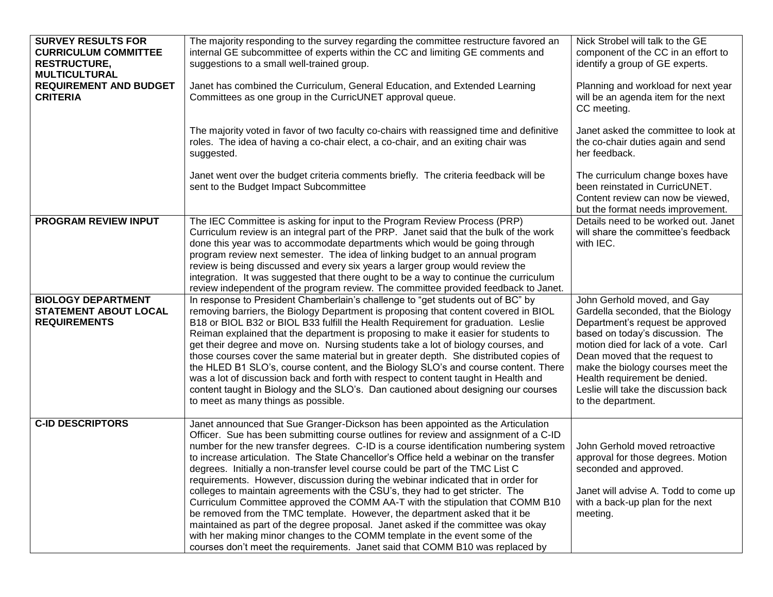| <b>SURVEY RESULTS FOR</b><br><b>CURRICULUM COMMITTEE</b><br><b>RESTRUCTURE,</b><br><b>MULTICULTURAL</b><br><b>REQUIREMENT AND BUDGET</b><br><b>CRITERIA</b> | The majority responding to the survey regarding the committee restructure favored an<br>internal GE subcommittee of experts within the CC and limiting GE comments and<br>suggestions to a small well-trained group.<br>Janet has combined the Curriculum, General Education, and Extended Learning<br>Committees as one group in the CurricUNET approval queue.<br>The majority voted in favor of two faculty co-chairs with reassigned time and definitive<br>roles. The idea of having a co-chair elect, a co-chair, and an exiting chair was<br>suggested.                                                                                                                                                                                                                                                                                                                                                                                                                                                                        | Nick Strobel will talk to the GE<br>component of the CC in an effort to<br>identify a group of GE experts.<br>Planning and workload for next year<br>will be an agenda item for the next<br>CC meeting.<br>Janet asked the committee to look at<br>the co-chair duties again and send<br>her feedback.                                                   |
|-------------------------------------------------------------------------------------------------------------------------------------------------------------|---------------------------------------------------------------------------------------------------------------------------------------------------------------------------------------------------------------------------------------------------------------------------------------------------------------------------------------------------------------------------------------------------------------------------------------------------------------------------------------------------------------------------------------------------------------------------------------------------------------------------------------------------------------------------------------------------------------------------------------------------------------------------------------------------------------------------------------------------------------------------------------------------------------------------------------------------------------------------------------------------------------------------------------|----------------------------------------------------------------------------------------------------------------------------------------------------------------------------------------------------------------------------------------------------------------------------------------------------------------------------------------------------------|
|                                                                                                                                                             | Janet went over the budget criteria comments briefly. The criteria feedback will be<br>sent to the Budget Impact Subcommittee                                                                                                                                                                                                                                                                                                                                                                                                                                                                                                                                                                                                                                                                                                                                                                                                                                                                                                         | The curriculum change boxes have<br>been reinstated in CurricUNET.<br>Content review can now be viewed,<br>but the format needs improvement.                                                                                                                                                                                                             |
| <b>PROGRAM REVIEW INPUT</b>                                                                                                                                 | The IEC Committee is asking for input to the Program Review Process (PRP)<br>Curriculum review is an integral part of the PRP. Janet said that the bulk of the work<br>done this year was to accommodate departments which would be going through<br>program review next semester. The idea of linking budget to an annual program<br>review is being discussed and every six years a larger group would review the<br>integration. It was suggested that there ought to be a way to continue the curriculum<br>review independent of the program review. The committee provided feedback to Janet.                                                                                                                                                                                                                                                                                                                                                                                                                                   | Details need to be worked out. Janet<br>will share the committee's feedback<br>with IEC.                                                                                                                                                                                                                                                                 |
| <b>BIOLOGY DEPARTMENT</b><br><b>STATEMENT ABOUT LOCAL</b><br><b>REQUIREMENTS</b>                                                                            | In response to President Chamberlain's challenge to "get students out of BC" by<br>removing barriers, the Biology Department is proposing that content covered in BIOL<br>B18 or BIOL B32 or BIOL B33 fulfill the Health Requirement for graduation. Leslie<br>Reiman explained that the department is proposing to make it easier for students to<br>get their degree and move on. Nursing students take a lot of biology courses, and<br>those courses cover the same material but in greater depth. She distributed copies of<br>the HLED B1 SLO's, course content, and the Biology SLO's and course content. There<br>was a lot of discussion back and forth with respect to content taught in Health and<br>content taught in Biology and the SLO's. Dan cautioned about designing our courses<br>to meet as many things as possible.                                                                                                                                                                                            | John Gerhold moved, and Gay<br>Gardella seconded, that the Biology<br>Department's request be approved<br>based on today's discussion. The<br>motion died for lack of a vote. Carl<br>Dean moved that the request to<br>make the biology courses meet the<br>Health requirement be denied.<br>Leslie will take the discussion back<br>to the department. |
| <b>C-ID DESCRIPTORS</b>                                                                                                                                     | Janet announced that Sue Granger-Dickson has been appointed as the Articulation<br>Officer. Sue has been submitting course outlines for review and assignment of a C-ID<br>number for the new transfer degrees. C-ID is a course identification numbering system<br>to increase articulation. The State Chancellor's Office held a webinar on the transfer<br>degrees. Initially a non-transfer level course could be part of the TMC List C<br>requirements. However, discussion during the webinar indicated that in order for<br>colleges to maintain agreements with the CSU's, they had to get stricter. The<br>Curriculum Committee approved the COMM AA-T with the stipulation that COMM B10<br>be removed from the TMC template. However, the department asked that it be<br>maintained as part of the degree proposal. Janet asked if the committee was okay<br>with her making minor changes to the COMM template in the event some of the<br>courses don't meet the requirements. Janet said that COMM B10 was replaced by | John Gerhold moved retroactive<br>approval for those degrees. Motion<br>seconded and approved.<br>Janet will advise A. Todd to come up<br>with a back-up plan for the next<br>meeting.                                                                                                                                                                   |